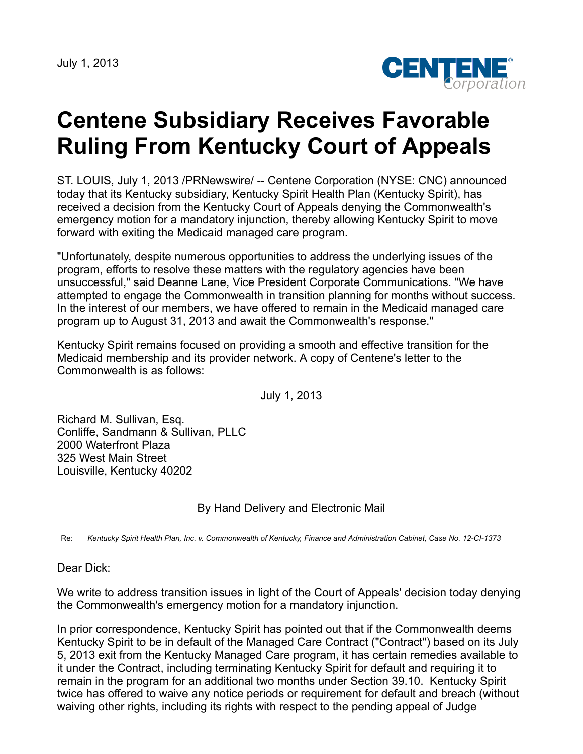July 1, 2013



## **Centene Subsidiary Receives Favorable Ruling From Kentucky Court of Appeals**

ST. LOUIS, July 1, 2013 /PRNewswire/ -- Centene Corporation (NYSE: CNC) announced today that its Kentucky subsidiary, Kentucky Spirit Health Plan (Kentucky Spirit), has received a decision from the Kentucky Court of Appeals denying the Commonwealth's emergency motion for a mandatory injunction, thereby allowing Kentucky Spirit to move forward with exiting the Medicaid managed care program.

"Unfortunately, despite numerous opportunities to address the underlying issues of the program, efforts to resolve these matters with the regulatory agencies have been unsuccessful," said Deanne Lane, Vice President Corporate Communications. "We have attempted to engage the Commonwealth in transition planning for months without success. In the interest of our members, we have offered to remain in the Medicaid managed care program up to August 31, 2013 and await the Commonwealth's response."

Kentucky Spirit remains focused on providing a smooth and effective transition for the Medicaid membership and its provider network. A copy of Centene's letter to the Commonwealth is as follows:

July 1, 2013

Richard M. Sullivan, Esq. Conliffe, Sandmann & Sullivan, PLLC 2000 Waterfront Plaza 325 West Main Street Louisville, Kentucky 40202

By Hand Delivery and Electronic Mail

Re: Kentucky Spirit Health Plan, Inc. v. Commonwealth of Kentucky, Finance and Administration Cabinet, Case No. 12-CI-1373

Dear Dick:

We write to address transition issues in light of the Court of Appeals' decision today denying the Commonwealth's emergency motion for a mandatory injunction.

In prior correspondence, Kentucky Spirit has pointed out that if the Commonwealth deems Kentucky Spirit to be in default of the Managed Care Contract ("Contract") based on its July 5, 2013 exit from the Kentucky Managed Care program, it has certain remedies available to it under the Contract, including terminating Kentucky Spirit for default and requiring it to remain in the program for an additional two months under Section 39.10. Kentucky Spirit twice has offered to waive any notice periods or requirement for default and breach (without waiving other rights, including its rights with respect to the pending appeal of Judge